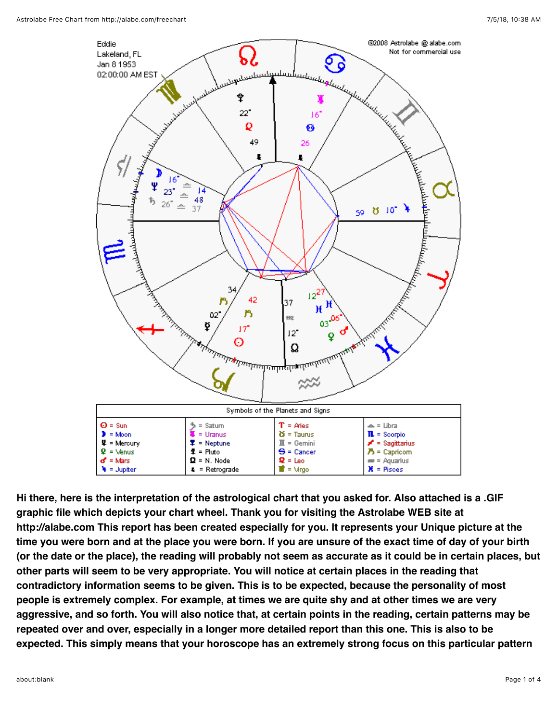

**Hi there, here is the interpretation of the astrological chart that you asked for. Also attached is a .GIF graphic file which depicts your chart wheel. Thank you for visiting the Astrolabe WEB site at http://alabe.com This report has been created especially for you. It represents your Unique picture at the time you were born and at the place you were born. If you are unsure of the exact time of day of your birth (or the date or the place), the reading will probably not seem as accurate as it could be in certain places, but other parts will seem to be very appropriate. You will notice at certain places in the reading that contradictory information seems to be given. This is to be expected, because the personality of most people is extremely complex. For example, at times we are quite shy and at other times we are very aggressive, and so forth. You will also notice that, at certain points in the reading, certain patterns may be repeated over and over, especially in a longer more detailed report than this one. This is also to be expected. This simply means that your horoscope has an extremely strong focus on this particular pattern**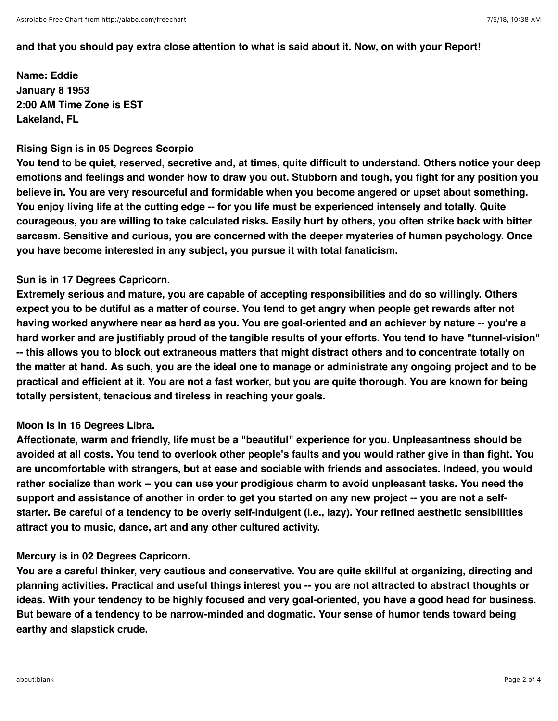### **and that you should pay extra close attention to what is said about it. Now, on with your Report!**

**Name: Eddie January 8 1953 2:00 AM Time Zone is EST Lakeland, FL** 

### **Rising Sign is in 05 Degrees Scorpio**

**You tend to be quiet, reserved, secretive and, at times, quite difficult to understand. Others notice your deep emotions and feelings and wonder how to draw you out. Stubborn and tough, you fight for any position you believe in. You are very resourceful and formidable when you become angered or upset about something. You enjoy living life at the cutting edge -- for you life must be experienced intensely and totally. Quite courageous, you are willing to take calculated risks. Easily hurt by others, you often strike back with bitter sarcasm. Sensitive and curious, you are concerned with the deeper mysteries of human psychology. Once you have become interested in any subject, you pursue it with total fanaticism.** 

### **Sun is in 17 Degrees Capricorn.**

**Extremely serious and mature, you are capable of accepting responsibilities and do so willingly. Others expect you to be dutiful as a matter of course. You tend to get angry when people get rewards after not having worked anywhere near as hard as you. You are goal-oriented and an achiever by nature -- you're a hard worker and are justifiably proud of the tangible results of your efforts. You tend to have "tunnel-vision" -- this allows you to block out extraneous matters that might distract others and to concentrate totally on the matter at hand. As such, you are the ideal one to manage or administrate any ongoing project and to be practical and efficient at it. You are not a fast worker, but you are quite thorough. You are known for being totally persistent, tenacious and tireless in reaching your goals.** 

## **Moon is in 16 Degrees Libra.**

**Affectionate, warm and friendly, life must be a "beautiful" experience for you. Unpleasantness should be avoided at all costs. You tend to overlook other people's faults and you would rather give in than fight. You are uncomfortable with strangers, but at ease and sociable with friends and associates. Indeed, you would rather socialize than work -- you can use your prodigious charm to avoid unpleasant tasks. You need the support and assistance of another in order to get you started on any new project -- you are not a selfstarter. Be careful of a tendency to be overly self-indulgent (i.e., lazy). Your refined aesthetic sensibilities attract you to music, dance, art and any other cultured activity.** 

## **Mercury is in 02 Degrees Capricorn.**

**You are a careful thinker, very cautious and conservative. You are quite skillful at organizing, directing and planning activities. Practical and useful things interest you -- you are not attracted to abstract thoughts or ideas. With your tendency to be highly focused and very goal-oriented, you have a good head for business. But beware of a tendency to be narrow-minded and dogmatic. Your sense of humor tends toward being earthy and slapstick crude.**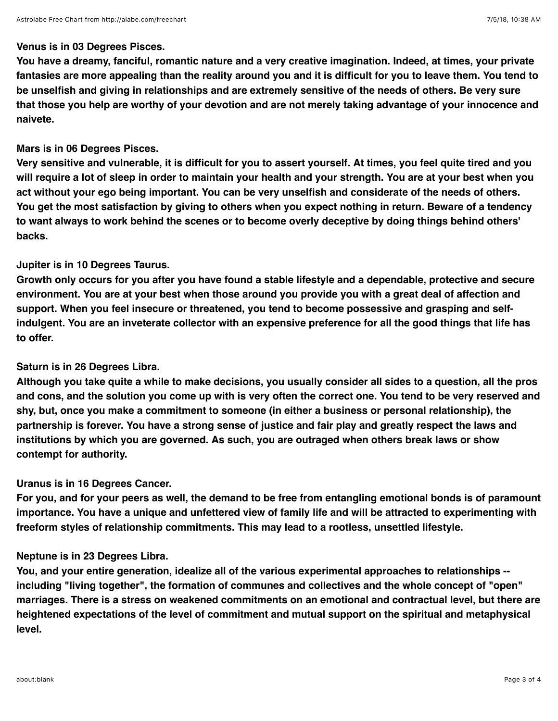### **Venus is in 03 Degrees Pisces.**

**You have a dreamy, fanciful, romantic nature and a very creative imagination. Indeed, at times, your private fantasies are more appealing than the reality around you and it is difficult for you to leave them. You tend to be unselfish and giving in relationships and are extremely sensitive of the needs of others. Be very sure that those you help are worthy of your devotion and are not merely taking advantage of your innocence and naivete.** 

## **Mars is in 06 Degrees Pisces.**

**Very sensitive and vulnerable, it is difficult for you to assert yourself. At times, you feel quite tired and you will require a lot of sleep in order to maintain your health and your strength. You are at your best when you act without your ego being important. You can be very unselfish and considerate of the needs of others. You get the most satisfaction by giving to others when you expect nothing in return. Beware of a tendency to want always to work behind the scenes or to become overly deceptive by doing things behind others' backs.** 

## **Jupiter is in 10 Degrees Taurus.**

**Growth only occurs for you after you have found a stable lifestyle and a dependable, protective and secure environment. You are at your best when those around you provide you with a great deal of affection and support. When you feel insecure or threatened, you tend to become possessive and grasping and selfindulgent. You are an inveterate collector with an expensive preference for all the good things that life has to offer.** 

# **Saturn is in 26 Degrees Libra.**

**Although you take quite a while to make decisions, you usually consider all sides to a question, all the pros and cons, and the solution you come up with is very often the correct one. You tend to be very reserved and shy, but, once you make a commitment to someone (in either a business or personal relationship), the partnership is forever. You have a strong sense of justice and fair play and greatly respect the laws and institutions by which you are governed. As such, you are outraged when others break laws or show contempt for authority.** 

## **Uranus is in 16 Degrees Cancer.**

**For you, and for your peers as well, the demand to be free from entangling emotional bonds is of paramount importance. You have a unique and unfettered view of family life and will be attracted to experimenting with freeform styles of relationship commitments. This may lead to a rootless, unsettled lifestyle.** 

## **Neptune is in 23 Degrees Libra.**

**You, and your entire generation, idealize all of the various experimental approaches to relationships - including "living together", the formation of communes and collectives and the whole concept of "open" marriages. There is a stress on weakened commitments on an emotional and contractual level, but there are heightened expectations of the level of commitment and mutual support on the spiritual and metaphysical level.**